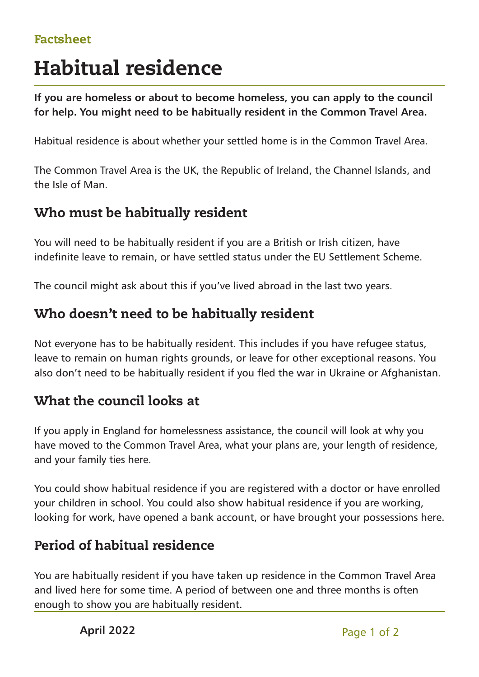### Factsheet

# Habitual residence

**If you are homeless or about to become homeless, you can apply to the council for help. You might need to be habitually resident in the Common Travel Area.**

Habitual residence is about whether your settled home is in the Common Travel Area.

The Common Travel Area is the UK, the Republic of Ireland, the Channel Islands, and the Isle of Man.

### Who must be habitually resident

You will need to be habitually resident if you are a British or Irish citizen, have indefinite leave to remain, or have settled status under the EU Settlement Scheme.

The council might ask about this if you've lived abroad in the last two years.

## Who doesn't need to be habitually resident

Not everyone has to be habitually resident. This includes if you have refugee status, leave to remain on human rights grounds, or leave for other exceptional reasons. You also don't need to be habitually resident if you fled the war in Ukraine or Afghanistan.

### What the council looks at

If you apply in England for homelessness assistance, the council will look at why you have moved to the Common Travel Area, what your plans are, your length of residence, and your family ties here.

You could show habitual residence if you are registered with a doctor or have enrolled your children in school. You could also show habitual residence if you are working, looking for work, have opened a bank account, or have brought your possessions here.

# Period of habitual residence

You are habitually resident if you have taken up residence in the Common Travel Area and lived here for some time. A period of between one and three months is often enough to show you are habitually resident.